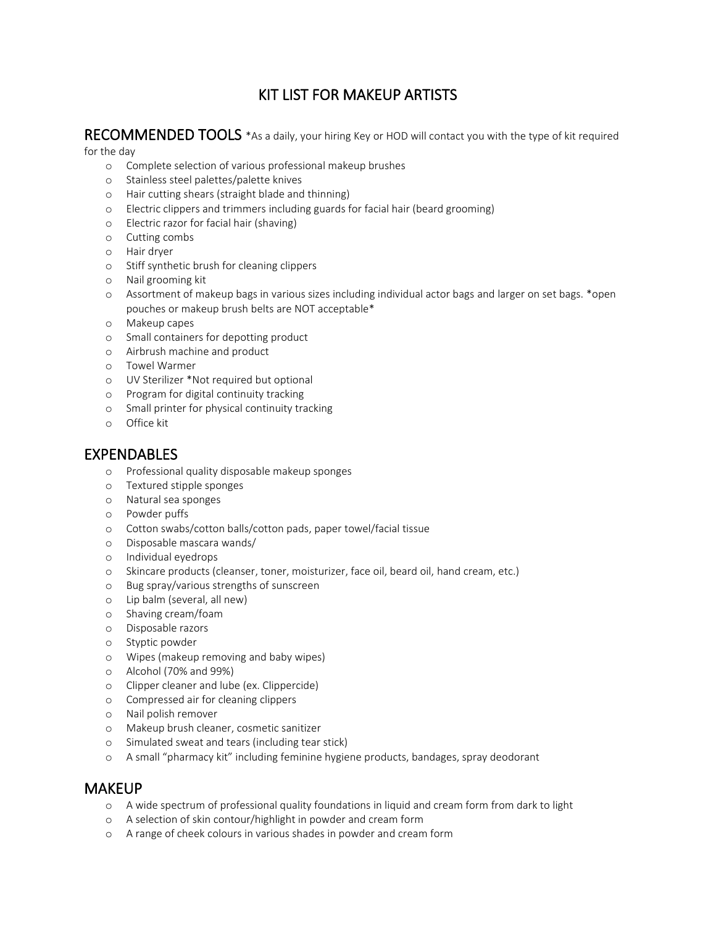# KIT LIST FOR MAKEUP ARTISTS

# RECOMMENDED TOOLS \*As a daily, your hiring Key or HOD will contact you with the type of kit required

#### for the day

- o Complete selection of various professional makeup brushes
- o Stainless steel palettes/palette knives
- o Hair cutting shears (straight blade and thinning)
- o Electric clippers and trimmers including guards for facial hair (beard grooming)
- o Electric razor for facial hair (shaving)
- o Cutting combs
- o Hair dryer
- o Stiff synthetic brush for cleaning clippers
- o Nail grooming kit
- o Assortment of makeup bags in various sizes including individual actor bags and larger on set bags. \*open pouches or makeup brush belts are NOT acceptable\*
- o Makeup capes
- o Small containers for depotting product
- o Airbrush machine and product
- o Towel Warmer
- o UV Sterilizer \*Not required but optional
- o Program for digital continuity tracking
- o Small printer for physical continuity tracking
- o Office kit

## EXPENDABLES

- o Professional quality disposable makeup sponges
- o Textured stipple sponges
- o Natural sea sponges
- o Powder puffs
- o Cotton swabs/cotton balls/cotton pads, paper towel/facial tissue
- o Disposable mascara wands/
- o Individual eyedrops
- o Skincare products (cleanser, toner, moisturizer, face oil, beard oil, hand cream, etc.)
- o Bug spray/various strengths of sunscreen
- o Lip balm (several, all new)
- o Shaving cream/foam
- o Disposable razors
- o Styptic powder
- o Wipes (makeup removing and baby wipes)
- o Alcohol (70% and 99%)
- o Clipper cleaner and lube (ex. Clippercide)
- o Compressed air for cleaning clippers
- o Nail polish remover
- o Makeup brush cleaner, cosmetic sanitizer
- o Simulated sweat and tears (including tear stick)
- o A small "pharmacy kit" including feminine hygiene products, bandages, spray deodorant

### **MAKEUP**

- o A wide spectrum of professional quality foundations in liquid and cream form from dark to light
- o A selection of skin contour/highlight in powder and cream form
- o A range of cheek colours in various shades in powder and cream form